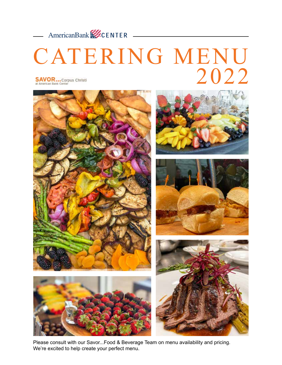

# CATERING MENU 2022 **SAVOR...** Corpus Christi<br>at American Bank Center



Please consult with our Savor...Food & Beverage Team on menu availability and pricing. We're excited to help create your perfect menu.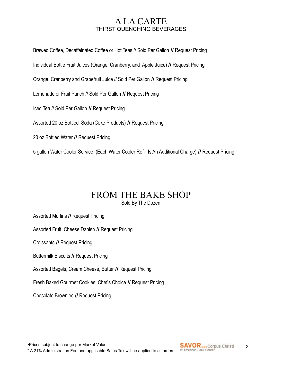### A LA CARTE THIRST QUENCHING BEVERAGES

Brewed Coffee, Decaffeinated Coffee or Hot Teas // Sold Per Gallon **//** Request Pricing

Individual Bottle Fruit Juices (Orange, Cranberry, and Apple Juice) **//** Request Pricing

Orange, Cranberry and Grapefruit Juice // Sold Per Gallon **//** Request Pricing

Lemonade or Fruit Punch // Sold Per Gallon **//** Request Pricing

Iced Tea // Sold Per Gallon **//** Request Pricing

Assorted 20 oz Bottled Soda (Coke Products) **//** Request Pricing

20 oz Bottled Water **//** Request Pricing

5 gallon Water Cooler Service (Each Water Cooler Refill Is An Additional Charge) **//** Request Pricing

### FROM THE BAKE SHOP Sold By The Dozen

Assorted Muffins **//** Request Pricing

Assorted Fruit, Cheese Danish **//** Request Pricing

Croissants **//** Request Pricing

Buttermilk Biscuits **//** Request Pricing

Assorted Bagels, Cream Cheese, Butter **//** Request Pricing

Fresh Baked Gourmet Cookies: Chef's Choice **//** Request Pricing

Chocolate Brownies **//** Request Pricing

•Prices subject to change per Market Value \* A 21% Administration Fee and applicable Sales Tax will be applied to all orders

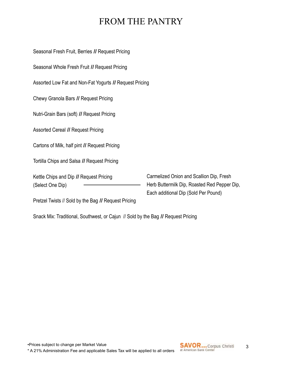## FROM THE PANTRY

Seasonal Fresh Fruit, Berries **//** Request Pricing Seasonal Whole Fresh Fruit **//** Request Pricing

Assorted Low Fat and Non-Fat Yogurts **//** Request Pricing

Chewy Granola Bars **//** Request Pricing

Nutri-Grain Bars (soft) **//** Request Pricing

Assorted Cereal **//** Request Pricing

Cartons of Milk, half pint **//** Request Pricing

Tortilla Chips and Salsa **//** Request Pricing

Kettle Chips and Dip **//** Request Pricing (Select One Dip)

Carmelized Onion and Scallion Dip, Fresh Herb Buttermilk Dip, Roasted Red Pepper Dip, Each additional Dip (Sold Per Pound)

Pretzel Twists // Sold by the Bag **//** Request Pricing

Snack Mix: Traditional, Southwest, or Cajun // Sold by the Bag **//** Request Pricing

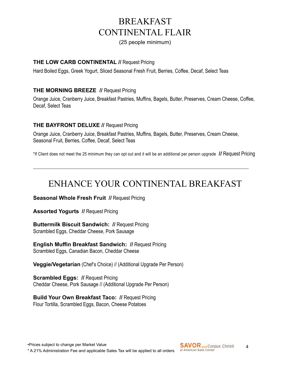## BREAKFAST CONTINENTAL FLAIR

(25 people minimum)

#### **THE LOW CARB CONTINENTAL //** Request Pricing

Hard Boiled Eggs, Greek Yogurt, Sliced Seasonal Fresh Fruit, Berries, Coffee, Decaf, Select Teas

#### **THE MORNING BREEZE //** Request Pricing

Orange Juice, Cranberry Juice, Breakfast Pastries, Muffins, Bagels, Butter, Preserves, Cream Cheese, Coffee, Decaf, Select Teas

#### **THE BAYFRONT DELUXE //** Request Pricing

Orange Juice, Cranberry Juice, Breakfast Pastries, Muffins, Bagels, Butter, Preserves, Cream Cheese, Seasonal Fruit, Berries, Coffee, Decaf, Select Teas

\*If Client does not meet the 25 minimum they can opt out and it will be an additional per person upgrade **//** Request Pricing

## ENHANCE YOUR CONTINENTAL BREAKFAST

**Seasonal Whole Fresh Fruit // Request Pricing** 

**Assorted Yogurts // Request Pricing** 

**Buttermilk Biscuit Sandwich: // Request Pricing** Scrambled Eggs, Cheddar Cheese, Pork Sausage

**English Muffin Breakfast Sandwich: // Request Pricing** Scrambled Eggs, Canadian Bacon, Cheddar Cheese

**Veggie/Vegetarian** (Chef's Choice) // (Additional Upgrade Per Person)

**Scrambled Eggs: // Request Pricing** Cheddar Cheese, Pork Sausage // (Additional Upgrade Per Person)

**Build Your Own Breakfast Taco: //** Request Pricing Flour Tortilla, Scrambled Eggs, Bacon, Cheese Potatoes

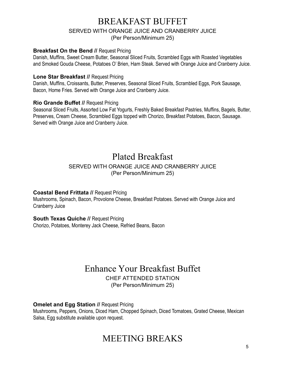### BREAKFAST BUFFET SERVED WITH ORANGE JUICE AND CRANBERRY JUICE (Per Person/Minimum 25)

#### **Breakfast On the Bend // Request Pricing**

Danish, Muffins, Sweet Cream Butter, Seasonal Sliced Fruits, Scrambled Eggs with Roasted Vegetables and Smoked Gouda Cheese, Potatoes O' Brien, Ham Steak. Served with Orange Juice and Cranberry Juice.

#### **Lone Star Breakfast //** Request Pricing

Danish, Muffins, Croissants, Butter, Preserves, Seasonal Sliced Fruits, Scrambled Eggs, Pork Sausage, Bacon, Home Fries. Served with Orange Juice and Cranberry Juice.

#### **Rio Grande Buffet //** Request Pricing

Seasonal Sliced Fruits, Assorted Low Fat Yogurts, Freshly Baked Breakfast Pastries, Muffins, Bagels, Butter, Preserves, Cream Cheese, Scrambled Eggs topped with Chorizo, Breakfast Potatoes, Bacon, Sausage. Served with Orange Juice and Cranberry Juice.

## Plated Breakfast

#### SERVED WITH ORANGE JUICE AND CRANBERRY JUICE (Per Person/Minimum 25)

#### **Coastal Bend Frittata //** Request Pricing

Mushrooms, Spinach, Bacon, Provolone Cheese, Breakfast Potatoes. Served with Orange Juice and Cranberry Juice

**South Texas Quiche // Request Pricing** 

Chorizo, Potatoes, Monterey Jack Cheese, Refried Beans, Bacon

### Enhance Your Breakfast Buffet CHEF ATTENDED STATION (Per Person/Minimum 25)

**Omelet and Egg Station // Request Pricing** Mushrooms, Peppers, Onions, Diced Ham, Chopped Spinach, Diced Tomatoes, Grated Cheese, Mexican Salsa, Egg substitute available upon request.

## MEETING BREAKS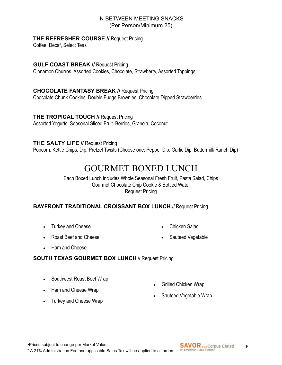#### IN BETWEEN MEETING SNACKS (Per Person/Minimum 25)

#### **THE REFRESHER COURSE //** Request Pricing

Coffee, Decaf, Select Teas

#### **GULF COAST BREAK //** Request Pricing

Cinnamon Churros, Assorted Cookies, Chocolate, Strawberry, Assorted Toppings

#### **CHOCOLATE FANTASY BREAK //** Request Pricing

Chocolate Chunk Cookies. Double Fudge Brownies, Chocolate Dipped Strawberries

### **THE TROPICAL TOUCH //** Request Pricing

Assorted Yogurts, Seasonal Sliced Fruit. Berries, Granola, Coconut

#### **THE SALTY LIFE //** Request Pricing

Popcorn, Kettle Chips, Dip, Pretzel Twists (Choose one: Pepper Dip, Garlic Dip, Buttermilk Ranch Dip)

### GOURMET BOXED LUNCH

Each Boxed Lunch includes Whole Seasonal Fresh Fruit, Pasta Salad, Chips Gourmet Chocolate Chip Cookie & Bottled Water Request Pricing

#### **BAYFRONT TRADITIONAL CROISSANT BOX LUNCH** // Request Pricing

• Turkey and Cheese

• Chicken Salad

• Roast Beef and Cheese

• Sauteed Vegetable

• Ham and Cheese

#### **SOUTH TEXAS GOURMET BOX LUNCH** // Request Pricing

- Southwest Roast Beef Wrap
- Ham and Cheese Wrap
- Turkey and Cheese Wrap
- Grilled Chicken Wrap
- Sauteed Vegetable Wrap

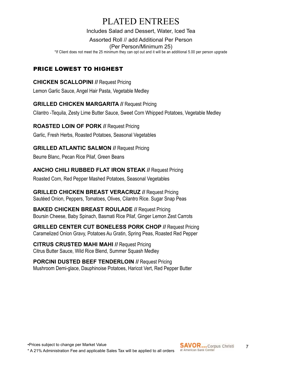## PLATED ENTREES

Includes Salad and Dessert, Water, Iced Tea

Assorted Roll // add Additional Per Person

(Per Person/Minimum 25)

\*If Client does not meet the 25 minimum they can opt out and it will be an additional 5.00 per person upgrade

### PRICE LOWEST TO HIGHEST

#### **CHICKEN SCALLOPINI //** Request Pricing

Lemon Garlic Sauce, Angel Hair Pasta, Vegetable Medley

### **GRILLED CHICKEN MARGARITA //** Request Pricing

Cilantro -Tequila, Zesty Lime Butter Sauce, Sweet Corn Whipped Potatoes, Vegetable Medley

### **ROASTED LOIN OF PORK //** Request Pricing

Garlic, Fresh Herbs, Roasted Potatoes, Seasonal Vegetables

### **GRILLED ATLANTIC SALMON // Request Pricing**

Beurre Blanc, Pecan Rice Pilaf, Green Beans

### **ANCHO CHILI RUBBED FLAT IRON STEAK //** Request Pricing

Roasted Corn, Red Pepper Mashed Potatoes, Seasonal Vegetables

**GRILLED CHICKEN BREAST VERACRUZ //** Request Pricing Sautéed Onion, Peppers, Tomatoes, Olives, Cilantro Rice. Sugar Snap Peas

**BAKED CHICKEN BREAST ROULADE //** Request Pricing Boursin Cheese, Baby Spinach, Basmati Rice Pilaf, Ginger Lemon Zest Carrots

**GRILLED CENTER CUT BONELESS PORK CHOP //** Request Pricing Caramelized Onion Gravy, Potatoes Au Gratin, Spring Peas, Roasted Red Pepper

**CITRUS CRUSTED MAHI MAHI //** Request Pricing Citrus Butter Sauce, Wild Rice Blend, Summer Squash Medley

**PORCINI DUSTED BEEF TENDERLOIN // Request Pricing** Mushroom Demi-glace, Dauphinoise Potatoes, Haricot Vert, Red Pepper Butter

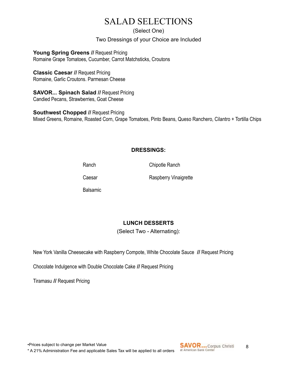## SALAD SELECTIONS

(Select One)

Two Dressings of your Choice are Included

Young Spring Greens // Request Pricing Romaine Grape Tomatoes, Cucumber, Carrot Matchsticks, Croutons

### **Classic Caesar //** Request Pricing

Romaine, Garlic Croutons. Parmesan Cheese

**SAVOR... Spinach Salad //** Request Pricing Candied Pecans, Strawberries, Goat Cheese

**Southwest Chopped // Request Pricing** Mixed Greens, Romaine, Roasted Corn, Grape Tomatoes, Pinto Beans, Queso Ranchero, Cilantro + Tortilla Chips

### **DRESSINGS:**

Ranch Chipotle Ranch

Balsamic

Caesar Raspberry Vinaigrette

### **LUNCH DESSERTS**

(Select Two - Alternating):

New York Vanilla Cheesecake with Raspberry Compote, White Chocolate Sauce **//** Request Pricing

Chocolate Indulgence with Double Chocolate Cake **//** Request Pricing

Tiramasu **//** Request Pricing

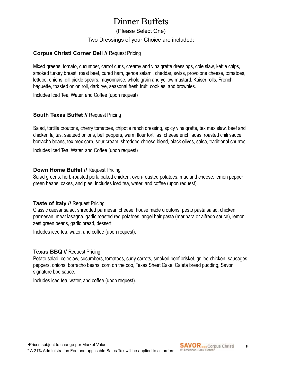## Dinner Buffets

(Please Select One)

#### Two Dressings of your Choice are included:

#### **Corpus Christi Corner Deli //** Request Pricing

Mixed greens, tomato, cucumber, carrot curls, creamy and vinaigrette dressings, cole slaw, kettle chips, smoked turkey breast, roast beef, cured ham, genoa salami, cheddar, swiss, provolone cheese, tomatoes, lettuce, onions, dill pickle spears, mayonnaise, whole grain and yellow mustard, Kaiser rolls, French baguette, toasted onion roll, dark rye, seasonal fresh fruit, cookies, and brownies.

Includes Iced Tea, Water, and Coffee (upon request)

#### **South Texas Buffet // Request Pricing**

Salad, tortilla croutons, cherry tomatoes, chipotle ranch dressing, spicy vinaigrette, tex mex slaw, beef and chicken fajitas, sauteed onions, bell peppers, warm flour tortillas, cheese enchiladas, roasted chili sauce, borracho beans, tex mex corn, sour cream, shredded cheese blend, black olives, salsa, traditional churros.

Includes Iced Tea, Water, and Coffee (upon request)

#### **Down Home Buffet // Request Pricing**

Salad greens, herb-roasted pork, baked chicken, oven-roasted potatoes, mac and cheese, lemon pepper green beans, cakes, and pies. Includes iced tea, water, and coffee (upon request).

#### **Taste of Italy // Request Pricing**

Classic caesar salad, shredded parmesan cheese, house made croutons, pesto pasta salad, chicken parmesan, meat lasagna, garlic roasted red potatoes, angel hair pasta (marinara or alfredo sauce), lemon zest green beans, garlic bread, dessert.

Includes iced tea, water, and coffee (upon request).

#### **Texas BBQ //** Request Pricing

Potato salad, coleslaw, cucumbers, tomatoes, curly carrots, smoked beef brisket, grilled chicken, sausages, peppers, onions, borracho beans, corn on the cob, Texas Sheet Cake, Cajeta bread pudding, Savor signature bbq sauce.

Includes iced tea, water, and coffee (upon request).

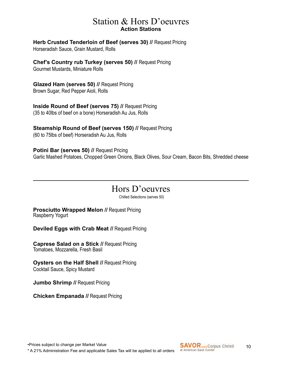### Station & Hors D'oeuvres **Action Stations**

**Herb Crusted Tenderloin of Beef (serves 30) // Request Pricing** 

Horseradish Sauce, Grain Mustard, Rolls

**Chef's Country rub Turkey (serves 50) //** Request Pricing Gourmet Mustards, Miniature Rolls

**Glazed Ham (serves 50) //** Request Pricing Brown Sugar, Red Pepper Aioli, Rolls

**Inside Round of Beef (serves 75) // Request Pricing** (35 to 40lbs of beef on a bone) Horseradish Au Jus, Rolls

**Steamship Round of Beef (serves 150) //** Request Pricing (60 to 75lbs of beef) Horseradish Au Jus, Rolls

**Potini Bar (serves 50) // Request Pricing** Garlic Mashed Potatoes, Chopped Green Onions, Black Olives, Sour Cream, Bacon Bits, Shredded cheese

## Hors D'oeuvres

Chilled Selections (serves 50)

**Prosciutto Wrapped Melon // Request Pricing** Raspberry Yogurt

**Deviled Eggs with Crab Meat //** Request Pricing

**Caprese Salad on a Stick //** Request Pricing Tomatoes, Mozzarella, Fresh Basil

**Oysters on the Half Shell // Request Pricing** Cocktail Sauce, Spicy Mustard

**Jumbo Shrimp // Request Pricing** 

**Chicken Empanada //** Request Pricing

•Prices subject to change per Market Value \* A 21% Administration Fee and applicable Sales Tax will be applied to all orders

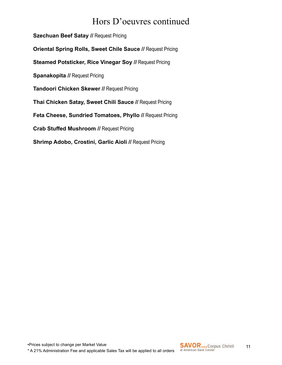## Hors D'oeuvres continued

**Szechuan Beef Satay // Request Pricing Oriental Spring Rolls, Sweet Chile Sauce //** Request Pricing **Steamed Potsticker, Rice Vinegar Soy // Request Pricing Spanakopita // Request Pricing Tandoori Chicken Skewer // Request Pricing Thai Chicken Satay, Sweet Chili Sauce //** Request Pricing **Feta Cheese, Sundried Tomatoes, Phyllo //** Request Pricing **Crab Stuffed Mushroom // Request Pricing Shrimp Adobo, Crostini, Garlic Aioli // Request Pricing** 

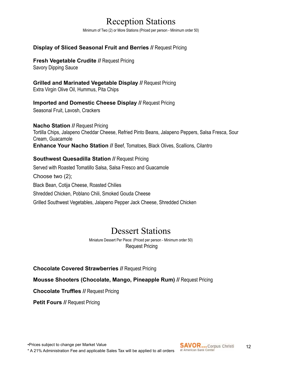## Reception Stations

Minimum of Two (2) or More Stations (Priced per person - Minimum order 50)

#### **Display of Sliced Seasonal Fruit and Berries //** Request Pricing

**Fresh Vegetable Crudite // Request Pricing** 

Savory Dipping Sauce

**Grilled and Marinated Vegetable Display //** Request Pricing Extra Virgin Olive Oil, Hummus, Pita Chips

**Imported and Domestic Cheese Display // Request Pricing** Seasonal Fruit, Lavosh, Crackers

**Nacho Station // Request Pricing** Tortilla Chips, Jalapeno Cheddar Cheese, Refried Pinto Beans, Jalapeno Peppers, Salsa Fresca, Sour Cream, Guacamole **Enhance Your Nacho Station //** Beef, Tomatoes, Black Olives, Scallions, Cilantro

#### **Southwest Quesadilla Station // Request Pricing**

Served with Roasted Tomatillo Salsa, Salsa Fresco and Guacamole Choose two (2); Black Bean, Cotija Cheese, Roasted Chilies Shredded Chicken, Poblano Chili, Smoked Gouda Cheese Grilled Southwest Vegetables, Jalapeno Pepper Jack Cheese, Shredded Chicken

### Dessert Stations

Miniature Dessert Per Piece: (Priced per person - Minimum order 50) Request Pricing

#### **Chocolate Covered Strawberries //** Request Pricing

#### **Mousse Shooters (Chocolate, Mango, Pineapple Rum) //** Request Pricing

**Chocolate Truffles //** Request Pricing

**Petit Fours // Request Pricing** 

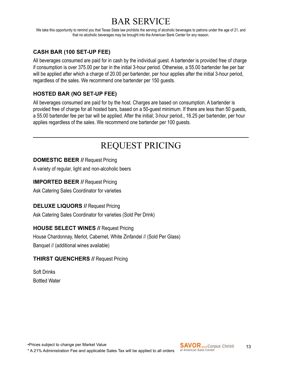## BAR SERVICE

We take this opportunity to remind you that Texas State law prohibits the serving of alcoholic beverages to patrons under the age of 21, and that no alcoholic beverages may be brought into the American Bank Center for any reason.

### **CASH BAR (100 SET-UP FEE)**

All beverages consumed are paid for in cash by the individual guest. A bartender is provided free of charge if consumption is over 375.00 per bar in the initial 3-hour period. Otherwise, a 55.00 bartender fee per bar will be applied after which a charge of 20.00 per bartender, per hour applies after the initial 3-hour period, regardless of the sales. We recommend one bartender per 150 guests.

### **HOSTED BAR (NO SET-UP FEE)**

All beverages consumed are paid for by the host. Charges are based on consumption. A bartender is provided free of charge for all hosted bars, based on a 50-guest minimum. If there are less than 50 guests, a 55.00 bartender fee per bar will be applied. After the initial; 3-hour period., 16.25 per bartender, per hour applies regardless of the sales. We recommend one bartender per 100 guests.

## REQUEST PRICING

#### **DOMESTIC BEER //** Request Pricing

A variety of regular, light and non-alcoholic beers

#### **IMPORTED BEER // Request Pricing**

Ask Catering Sales Coordinator for varieties

#### **DELUXE LIQUORS // Request Pricing**

Ask Catering Sales Coordinator for varieties (Sold Per Drink)

#### **HOUSE SELECT WINES //** Request Pricing

House Chardonnay, Merlot, Cabernet, White Zinfandel // (Sold Per Glass) Banquet // (additional wines available)

#### **THIRST QUENCHERS // Request Pricing**

Soft Drinks Bottled Water

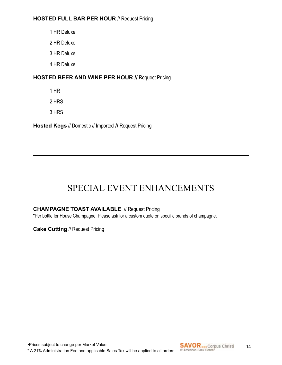#### **HOSTED FULL BAR PER HOUR** // Request Pricing

1 HR Deluxe

2 HR Deluxe

3 HR Deluxe

4 HR Deluxe

#### **HOSTED BEER AND WINE PER HOUR //** Request Pricing

1 HR

2 HRS

3 HRS

**Hosted Kegs** // Domestic // Imported **//** Request Pricing

## SPECIAL EVENT ENHANCEMENTS

#### **CHAMPAGNE TOAST AVAILABLE** // Request Pricing

\*Per bottle for House Champagne. Please ask for a custom quote on specific brands of champagne.

**Cake Cutting** // Request Pricing

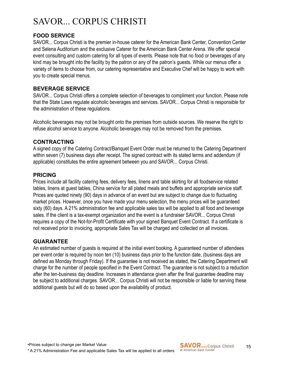## SAVOR... CORPUS CHRISTI

#### **FOOD SERVICE**

SAVOR... Corpus Christi is the premier in-house caterer for the American Bank Center, Convention Center and Selena Auditorium and the exclusive Caterer for the American Bank Center Arena. We offer special event consulting and custom catering for all types of events. Please note that no food or beverages of any kind may be brought into the facility by the patron or any of the patron's guests. While our menus offer a variety of items to choose from, our catering representative and Executive Chef will be happy to work with you to create special menus.

#### **BEVERAGE SERVICE**

SAVOR... Corpus Christi offers a complete selection of beverages to compliment your function. Please note that the State Laws regulate alcoholic beverages and services. SAVOR... Corpus Christi is responsible for the administration of these regulations.

Alcoholic beverages may not be brought onto the premises from outside sources. We reserve the right to refuse alcohol service to anyone. Alcoholic beverages may not be removed from the premises.

#### **CONTRACTING**

A signed copy of the Catering Contract/Banquet Event Order must be returned to the Catering Department within seven (7) business days after receipt. The signed contract with its stated terms and addendum (if applicable) constitutes the entire agreement between you and SAVOR... Corpus Christi.

#### **PRICING**

Prices include all facility catering fees, delivery fees, linens and table skirting for all foodservice related tables, linens at guest tables, China service for all plated meals and buffets and appropriate service staff. Prices are quoted ninety (90) days in advance of an event but are subject to change due to fluctuating market prices. However, once you have made your menu selection, the menu prices will be guaranteed sixty (60) days. A 21% administration fee and applicable sales tax will be applied to all food and beverage sales. If the client is a tax-exempt organization and the event is a fundraiser SAVOR... Corpus Christi requires a copy of the Not-for-Profit Certificate with your signed Banquet Event Contract. If a certificate is not received prior to invoicing, appropriate Sales Tax will be charged and collected on all invoices.

#### **GUARANTEE**

An estimated number of guests is required at the initial event booking. A guaranteed number of attendees per event order is required by noon ten (10) business days prior to the function date, (business days are defined as Monday through Friday). If the guarantee is not received as stated, the Catering Department will charge for the number of people specified in the Event Contract. The guarantee is not subject to a reduction after the ten-business day deadline. Increases in attendance given after the final guarantee deadline may be subject to additional charges. SAVOR... Corpus Christi will not be responsible or liable for serving these additional guests but will do so based upon the availability of product.